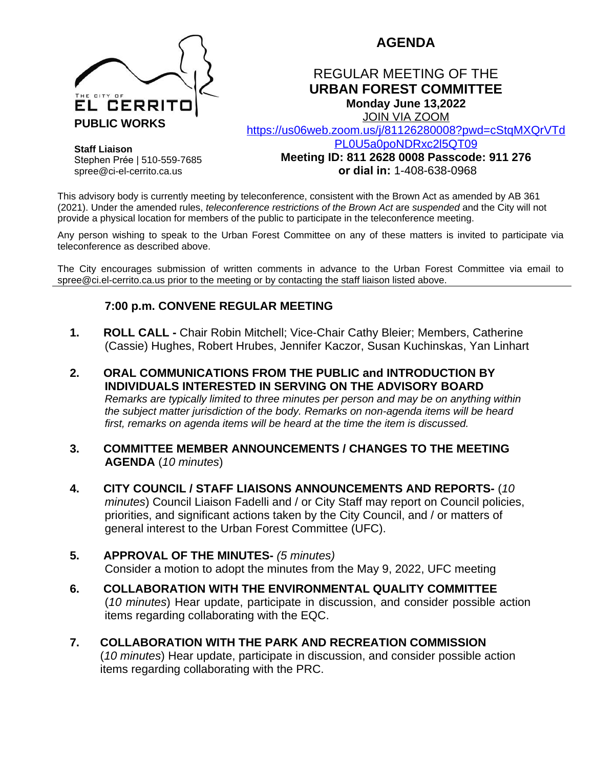

# **AGENDA**

## REGULAR MEETING OF THE **URBAN FOREST COMMITTEE Monday June 13,2022**

JOIN VIA ZOOM

[https://us06web.zoom.us/j/81126280008?pwd=cStqMXQrVTd](https://us06web.zoom.us/j/81126280008?pwd=cStqMXQrVTdPL0U5a0poNDRxc2l5QT09)

**Staff Liaison** Stephen Prée | 510-559-7685 spree@ci-el-cerrito.ca.us

PL0U5a0poNDRxc2l5QT09 **Meeting ID: 811 2628 0008 Passcode: 911 276 or dial in:** 1-408-638-0968

This advisory body is currently meeting by teleconference, consistent with the Brown Act as amended by AB 361 (2021). Under the amended rules, *teleconference restrictions of the Brown Act* are *suspended* and the City will not provide a physical location for members of the public to participate in the teleconference meeting.

Any person wishing to speak to the Urban Forest Committee on any of these matters is invited to participate via teleconference as described above.

The City encourages submission of written comments in advance to the Urban Forest Committee via email to spree@ci.el-cerrito.ca.us prior to the meeting or by contacting the staff liaison listed above.

#### **7:00 p.m. CONVENE REGULAR MEETING**

- **1. ROLL CALL -** Chair Robin Mitchell; Vice-Chair Cathy Bleier; Members, Catherine (Cassie) Hughes, Robert Hrubes, Jennifer Kaczor, Susan Kuchinskas, Yan Linhart
- **2. ORAL COMMUNICATIONS FROM THE PUBLIC and INTRODUCTION BY INDIVIDUALS INTERESTED IN SERVING ON THE ADVISORY BOARD** *Remarks are typically limited to three minutes per person and may be on anything within the subject matter jurisdiction of the body. Remarks on non-agenda items will be heard first, remarks on agenda items will be heard at the time the item is discussed.*
- **3. COMMITTEE MEMBER ANNOUNCEMENTS / CHANGES TO THE MEETING AGENDA** (*10 minutes*)
- **4. CITY COUNCIL / STAFF LIAISONS ANNOUNCEMENTS AND REPORTS-** (*10 minutes*) Council Liaison Fadelli and / or City Staff may report on Council policies, priorities, and significant actions taken by the City Council, and / or matters of general interest to the Urban Forest Committee (UFC).
- **5. APPROVAL OF THE MINUTES-** *(5 minutes)* Consider a motion to adopt the minutes from the May 9, 2022, UFC meeting
- **6. COLLABORATION WITH THE ENVIRONMENTAL QUALITY COMMITTEE** (*10 minutes*) Hear update, participate in discussion, and consider possible action items regarding collaborating with the EQC.
- **7. COLLABORATION WITH THE PARK AND RECREATION COMMISSION** (*10 minutes*) Hear update, participate in discussion, and consider possible action items regarding collaborating with the PRC.